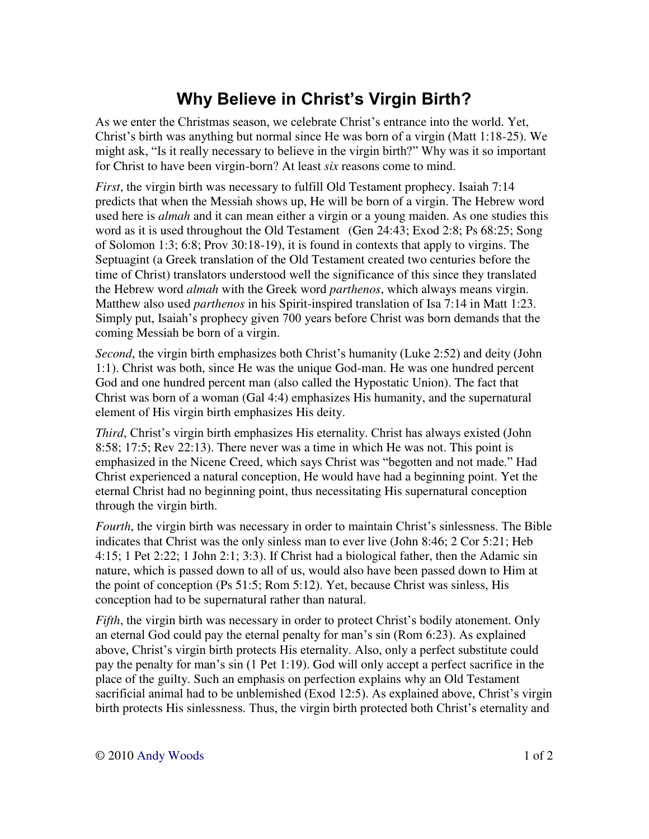## **Why Believe in Christ's Virgin Birth?**

As we enter the Christmas season, we celebrate Christ's entrance into the world. Yet, Christ's birth was anything but normal since He was born of a virgin (Matt 1:18-25). We might ask, "Is it really necessary to believe in the virgin birth?" Why was it so important for Christ to have been virgin-born? At least *six* reasons come to mind.

*First*, the virgin birth was necessary to fulfill Old Testament prophecy. Isaiah 7:14 predicts that when the Messiah shows up, He will be born of a virgin. The Hebrew word used here is *almah* and it can mean either a virgin or a young maiden. As one studies this word as it is used throughout the Old Testament (Gen 24:43; Exod 2:8; Ps 68:25; Song of Solomon 1:3; 6:8; Prov 30:18-19), it is found in contexts that apply to virgins. The Septuagint (a Greek translation of the Old Testament created two centuries before the time of Christ) translators understood well the significance of this since they translated the Hebrew word *almah* with the Greek word *parthenos*, which always means virgin. Matthew also used *parthenos* in his Spirit-inspired translation of Isa 7:14 in Matt 1:23. Simply put, Isaiah's prophecy given 700 years before Christ was born demands that the coming Messiah be born of a virgin.

*Second*, the virgin birth emphasizes both Christ's humanity (Luke 2:52) and deity (John 1:1). Christ was both, since He was the unique God-man. He was one hundred percent God and one hundred percent man (also called the Hypostatic Union). The fact that Christ was born of a woman (Gal 4:4) emphasizes His humanity, and the supernatural element of His virgin birth emphasizes His deity.

*Third*, Christ's virgin birth emphasizes His eternality. Christ has always existed (John 8:58; 17:5; Rev 22:13). There never was a time in which He was not. This point is emphasized in the Nicene Creed, which says Christ was "begotten and not made." Had Christ experienced a natural conception, He would have had a beginning point. Yet the eternal Christ had no beginning point, thus necessitating His supernatural conception through the virgin birth.

*Fourth*, the virgin birth was necessary in order to maintain Christ's sinlessness. The Bible indicates that Christ was the only sinless man to ever live (John 8:46; 2 Cor 5:21; Heb 4:15; 1 Pet 2:22; 1 John 2:1; 3:3). If Christ had a biological father, then the Adamic sin nature, which is passed down to all of us, would also have been passed down to Him at the point of conception (Ps 51:5; Rom 5:12). Yet, because Christ was sinless, His conception had to be supernatural rather than natural.

*Fifth*, the virgin birth was necessary in order to protect Christ's bodily atonement. Only an eternal God could pay the eternal penalty for man's sin (Rom 6:23). As explained above, Christ's virgin birth protects His eternality. Also, only a perfect substitute could pay the penalty for man's sin (1 Pet 1:19). God will only accept a perfect sacrifice in the place of the guilty. Such an emphasis on perfection explains why an Old Testament sacrificial animal had to be unblemished (Exod 12:5). As explained above, Christ's virgin birth protects His sinlessness. Thus, the virgin birth protected both Christ's eternality and